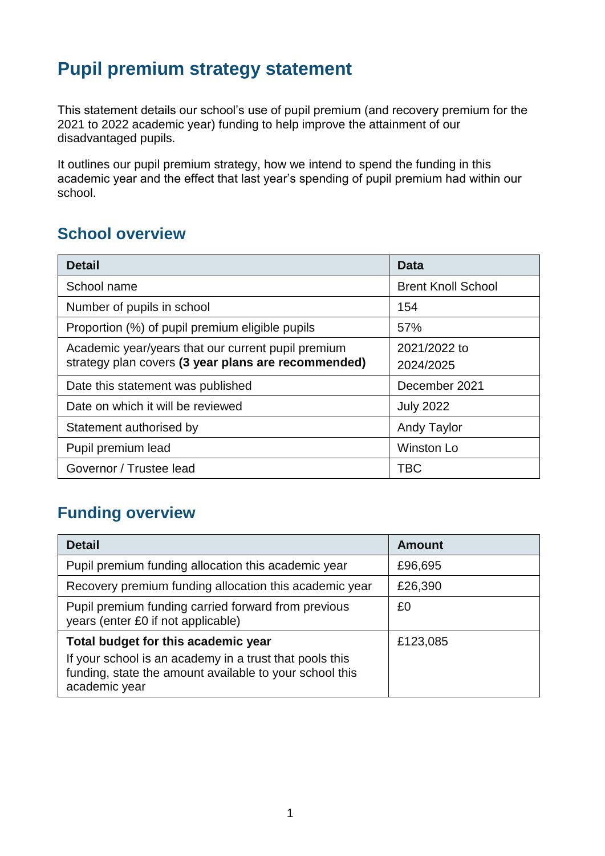## **Pupil premium strategy statement**

This statement details our school's use of pupil premium (and recovery premium for the 2021 to 2022 academic year) funding to help improve the attainment of our disadvantaged pupils.

It outlines our pupil premium strategy, how we intend to spend the funding in this academic year and the effect that last year's spending of pupil premium had within our school.

#### **School overview**

| <b>Detail</b>                                       | <b>Data</b>               |
|-----------------------------------------------------|---------------------------|
| School name                                         | <b>Brent Knoll School</b> |
| Number of pupils in school                          | 154                       |
| Proportion (%) of pupil premium eligible pupils     | 57%                       |
| Academic year/years that our current pupil premium  | 2021/2022 to              |
| strategy plan covers (3 year plans are recommended) | 2024/2025                 |
| Date this statement was published                   | December 2021             |
| Date on which it will be reviewed                   | <b>July 2022</b>          |
| Statement authorised by                             | <b>Andy Taylor</b>        |
| Pupil premium lead                                  | <b>Winston Lo</b>         |
| Governor / Trustee lead                             | <b>TBC</b>                |

#### **Funding overview**

| <b>Detail</b>                                                                                                                       | <b>Amount</b> |
|-------------------------------------------------------------------------------------------------------------------------------------|---------------|
| Pupil premium funding allocation this academic year                                                                                 | £96,695       |
| Recovery premium funding allocation this academic year                                                                              | £26,390       |
| Pupil premium funding carried forward from previous<br>years (enter £0 if not applicable)                                           | £0            |
| Total budget for this academic year                                                                                                 | £123,085      |
| If your school is an academy in a trust that pools this<br>funding, state the amount available to your school this<br>academic year |               |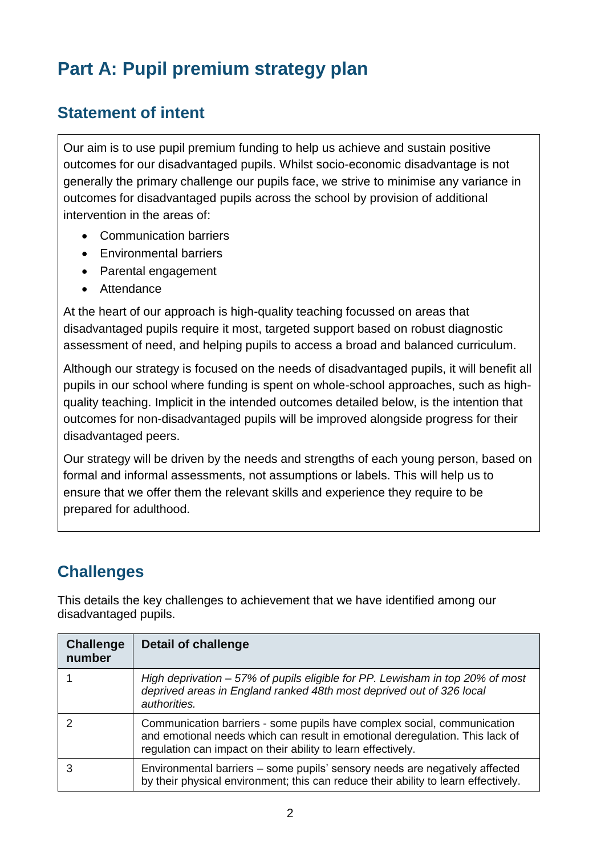# **Part A: Pupil premium strategy plan**

### **Statement of intent**

Our aim is to use pupil premium funding to help us achieve and sustain positive outcomes for our disadvantaged pupils. Whilst socio-economic disadvantage is not generally the primary challenge our pupils face, we strive to minimise any variance in outcomes for disadvantaged pupils across the school by provision of additional intervention in the areas of:

- Communication barriers
- Environmental barriers
- Parental engagement
- Attendance

At the heart of our approach is high-quality teaching focussed on areas that disadvantaged pupils require it most, targeted support based on robust diagnostic assessment of need, and helping pupils to access a broad and balanced curriculum.

Although our strategy is focused on the needs of disadvantaged pupils, it will benefit all pupils in our school where funding is spent on whole-school approaches, such as highquality teaching. Implicit in the intended outcomes detailed below, is the intention that outcomes for non-disadvantaged pupils will be improved alongside progress for their disadvantaged peers.

Our strategy will be driven by the needs and strengths of each young person, based on formal and informal assessments, not assumptions or labels. This will help us to ensure that we offer them the relevant skills and experience they require to be prepared for adulthood.

## **Challenges**

This details the key challenges to achievement that we have identified among our disadvantaged pupils.

| <b>Challenge</b><br>number | <b>Detail of challenge</b>                                                                                                                                                                                              |
|----------------------------|-------------------------------------------------------------------------------------------------------------------------------------------------------------------------------------------------------------------------|
|                            | High deprivation – 57% of pupils eligible for PP. Lewisham in top 20% of most<br>deprived areas in England ranked 48th most deprived out of 326 local<br>authorities.                                                   |
|                            | Communication barriers - some pupils have complex social, communication<br>and emotional needs which can result in emotional deregulation. This lack of<br>regulation can impact on their ability to learn effectively. |
|                            | Environmental barriers – some pupils' sensory needs are negatively affected<br>by their physical environment; this can reduce their ability to learn effectively.                                                       |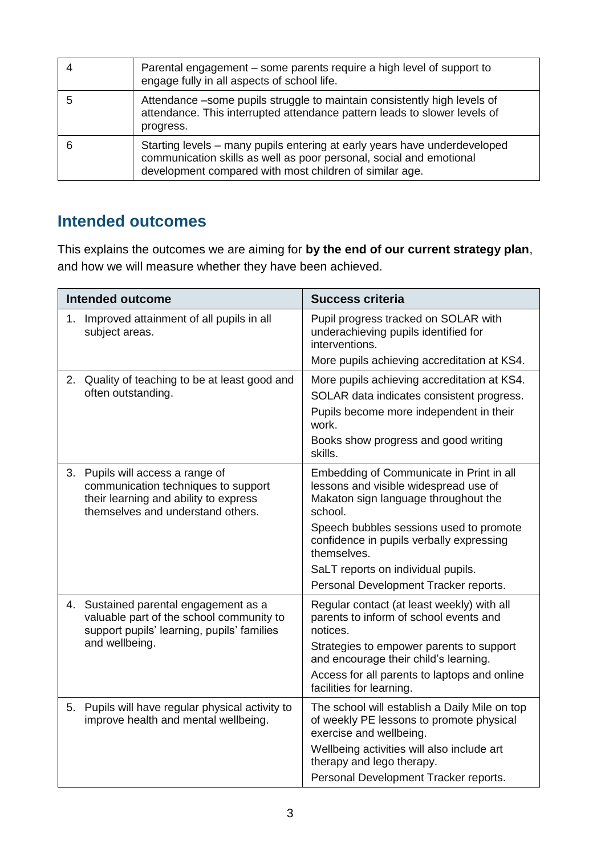| Parental engagement – some parents require a high level of support to<br>engage fully in all aspects of school life.                                                                                        |
|-------------------------------------------------------------------------------------------------------------------------------------------------------------------------------------------------------------|
| Attendance – some pupils struggle to maintain consistently high levels of<br>attendance. This interrupted attendance pattern leads to slower levels of<br>progress.                                         |
| Starting levels – many pupils entering at early years have underdeveloped<br>communication skills as well as poor personal, social and emotional<br>development compared with most children of similar age. |

#### **Intended outcomes**

This explains the outcomes we are aiming for **by the end of our current strategy plan**, and how we will measure whether they have been achieved.

| <b>Intended outcome</b>                                                                                                                               | <b>Success criteria</b>                                                                                                                                                                                                                                                                                                   |
|-------------------------------------------------------------------------------------------------------------------------------------------------------|---------------------------------------------------------------------------------------------------------------------------------------------------------------------------------------------------------------------------------------------------------------------------------------------------------------------------|
| 1. Improved attainment of all pupils in all<br>subject areas.                                                                                         | Pupil progress tracked on SOLAR with<br>underachieving pupils identified for<br>interventions.<br>More pupils achieving accreditation at KS4.                                                                                                                                                                             |
| 2. Quality of teaching to be at least good and<br>often outstanding.                                                                                  | More pupils achieving accreditation at KS4.<br>SOLAR data indicates consistent progress.<br>Pupils become more independent in their<br>work.<br>Books show progress and good writing<br>skills.                                                                                                                           |
| 3. Pupils will access a range of<br>communication techniques to support<br>their learning and ability to express<br>themselves and understand others. | Embedding of Communicate in Print in all<br>lessons and visible widespread use of<br>Makaton sign language throughout the<br>school.<br>Speech bubbles sessions used to promote<br>confidence in pupils verbally expressing<br>themselves.<br>SaLT reports on individual pupils.<br>Personal Development Tracker reports. |
| 4. Sustained parental engagement as a<br>valuable part of the school community to<br>support pupils' learning, pupils' families<br>and wellbeing.     | Regular contact (at least weekly) with all<br>parents to inform of school events and<br>notices.<br>Strategies to empower parents to support<br>and encourage their child's learning.<br>Access for all parents to laptops and online<br>facilities for learning.                                                         |
| 5. Pupils will have regular physical activity to<br>improve health and mental wellbeing.                                                              | The school will establish a Daily Mile on top<br>of weekly PE lessons to promote physical<br>exercise and wellbeing.<br>Wellbeing activities will also include art<br>therapy and lego therapy.<br>Personal Development Tracker reports.                                                                                  |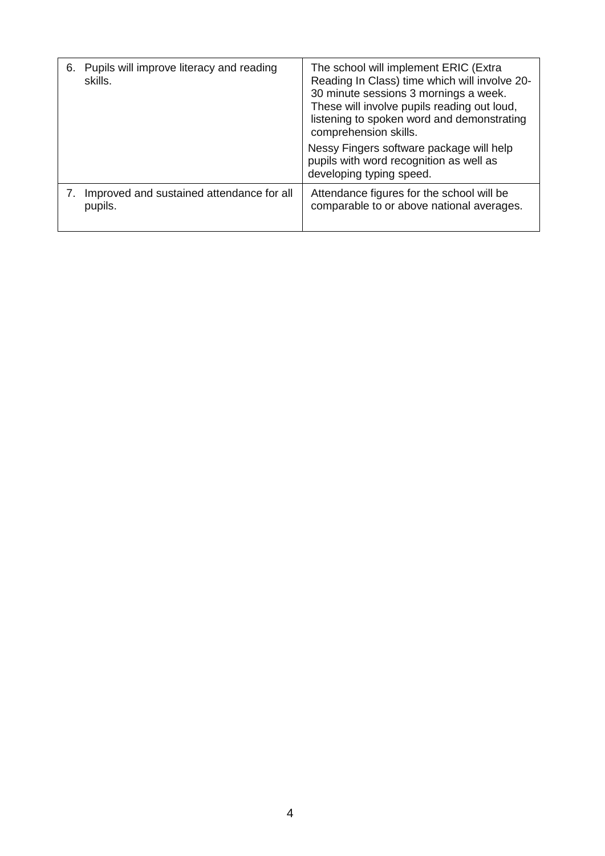| 6. Pupils will improve literacy and reading<br>skills. | The school will implement ERIC (Extra<br>Reading In Class) time which will involve 20-<br>30 minute sessions 3 mornings a week.<br>These will involve pupils reading out loud,<br>listening to spoken word and demonstrating<br>comprehension skills. |  |  |
|--------------------------------------------------------|-------------------------------------------------------------------------------------------------------------------------------------------------------------------------------------------------------------------------------------------------------|--|--|
|                                                        | Nessy Fingers software package will help<br>pupils with word recognition as well as<br>developing typing speed.                                                                                                                                       |  |  |
| Improved and sustained attendance for all<br>pupils.   | Attendance figures for the school will be<br>comparable to or above national averages.                                                                                                                                                                |  |  |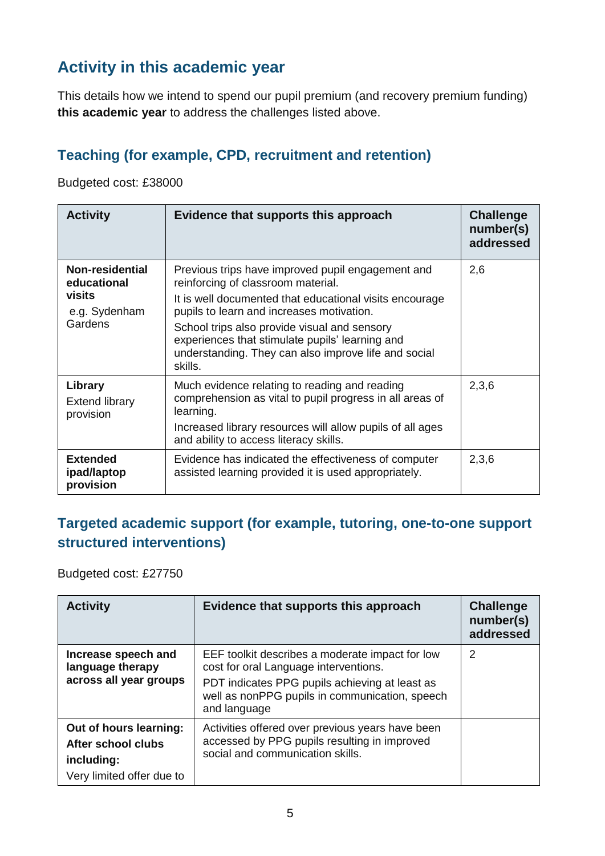### **Activity in this academic year**

This details how we intend to spend our pupil premium (and recovery premium funding) **this academic year** to address the challenges listed above.

#### **Teaching (for example, CPD, recruitment and retention)**

Budgeted cost: £38000

| <b>Activity</b>                                                      | Evidence that supports this approach                                                                                                                                                                                                                                                                                                                                  | <b>Challenge</b><br>number(s)<br>addressed |
|----------------------------------------------------------------------|-----------------------------------------------------------------------------------------------------------------------------------------------------------------------------------------------------------------------------------------------------------------------------------------------------------------------------------------------------------------------|--------------------------------------------|
| Non-residential<br>educational<br>visits<br>e.g. Sydenham<br>Gardens | Previous trips have improved pupil engagement and<br>reinforcing of classroom material.<br>It is well documented that educational visits encourage<br>pupils to learn and increases motivation.<br>School trips also provide visual and sensory<br>experiences that stimulate pupils' learning and<br>understanding. They can also improve life and social<br>skills. | 2,6                                        |
| Library<br><b>Extend library</b><br>provision                        | Much evidence relating to reading and reading<br>comprehension as vital to pupil progress in all areas of<br>learning.<br>Increased library resources will allow pupils of all ages<br>and ability to access literacy skills.                                                                                                                                         | 2,3,6                                      |
| <b>Extended</b><br>ipad/laptop<br>provision                          | Evidence has indicated the effectiveness of computer<br>assisted learning provided it is used appropriately.                                                                                                                                                                                                                                                          | 2,3,6                                      |

#### **Targeted academic support (for example, tutoring, one-to-one support structured interventions)**

Budgeted cost: £27750

| <b>Activity</b>                                                                         | Evidence that supports this approach                                                                                                                                                                         | <b>Challenge</b><br>number(s)<br>addressed |
|-----------------------------------------------------------------------------------------|--------------------------------------------------------------------------------------------------------------------------------------------------------------------------------------------------------------|--------------------------------------------|
| Increase speech and<br>language therapy<br>across all year groups                       | EEF toolkit describes a moderate impact for low<br>cost for oral Language interventions.<br>PDT indicates PPG pupils achieving at least as<br>well as nonPPG pupils in communication, speech<br>and language | 2                                          |
| Out of hours learning:<br>After school clubs<br>including:<br>Very limited offer due to | Activities offered over previous years have been<br>accessed by PPG pupils resulting in improved<br>social and communication skills.                                                                         |                                            |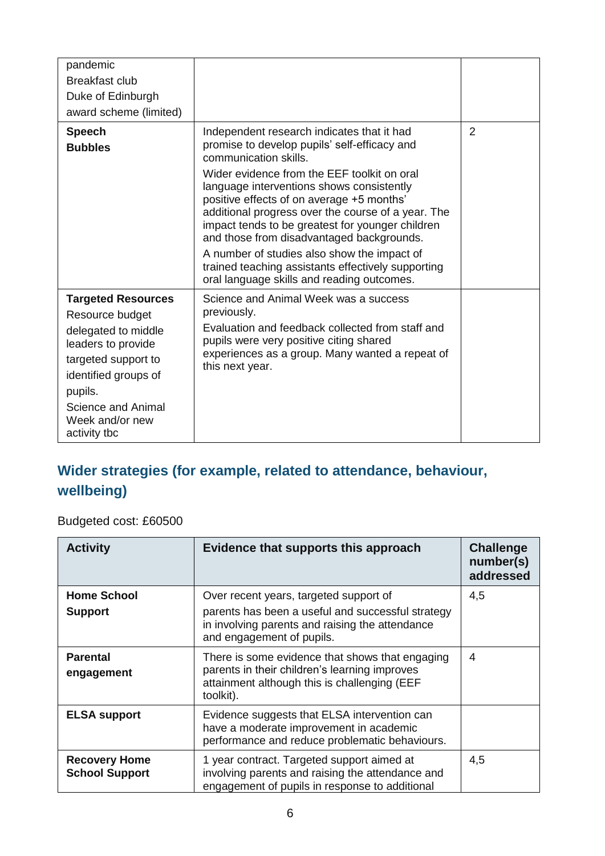| pandemic<br>Breakfast club<br>Duke of Edinburgh<br>award scheme (limited)                                                                                                                                    |                                                                                                                                                                                                                                                                                                                                                                                                                                                                                                                                                                        |   |
|--------------------------------------------------------------------------------------------------------------------------------------------------------------------------------------------------------------|------------------------------------------------------------------------------------------------------------------------------------------------------------------------------------------------------------------------------------------------------------------------------------------------------------------------------------------------------------------------------------------------------------------------------------------------------------------------------------------------------------------------------------------------------------------------|---|
| <b>Speech</b><br><b>Bubbles</b>                                                                                                                                                                              | Independent research indicates that it had<br>promise to develop pupils' self-efficacy and<br>communication skills.<br>Wider evidence from the EEF toolkit on oral<br>language interventions shows consistently<br>positive effects of on average +5 months'<br>additional progress over the course of a year. The<br>impact tends to be greatest for younger children<br>and those from disadvantaged backgrounds.<br>A number of studies also show the impact of<br>trained teaching assistants effectively supporting<br>oral language skills and reading outcomes. | 2 |
| <b>Targeted Resources</b><br>Resource budget<br>delegated to middle<br>leaders to provide<br>targeted support to<br>identified groups of<br>pupils.<br>Science and Animal<br>Week and/or new<br>activity tbc | Science and Animal Week was a success<br>previously.<br>Evaluation and feedback collected from staff and<br>pupils were very positive citing shared<br>experiences as a group. Many wanted a repeat of<br>this next year.                                                                                                                                                                                                                                                                                                                                              |   |

### **Wider strategies (for example, related to attendance, behaviour, wellbeing)**

Budgeted cost: £60500

| <b>Activity</b>                               | Evidence that supports this approach                                                                                                                                        | <b>Challenge</b><br>number(s)<br>addressed |
|-----------------------------------------------|-----------------------------------------------------------------------------------------------------------------------------------------------------------------------------|--------------------------------------------|
| <b>Home School</b><br><b>Support</b>          | Over recent years, targeted support of<br>parents has been a useful and successful strategy<br>in involving parents and raising the attendance<br>and engagement of pupils. | 4,5                                        |
| <b>Parental</b><br>engagement                 | There is some evidence that shows that engaging<br>parents in their children's learning improves<br>attainment although this is challenging (EEF<br>toolkit).               | 4                                          |
| <b>ELSA support</b>                           | Evidence suggests that ELSA intervention can<br>have a moderate improvement in academic<br>performance and reduce problematic behaviours.                                   |                                            |
| <b>Recovery Home</b><br><b>School Support</b> | 1 year contract. Targeted support aimed at<br>involving parents and raising the attendance and<br>engagement of pupils in response to additional                            | 4,5                                        |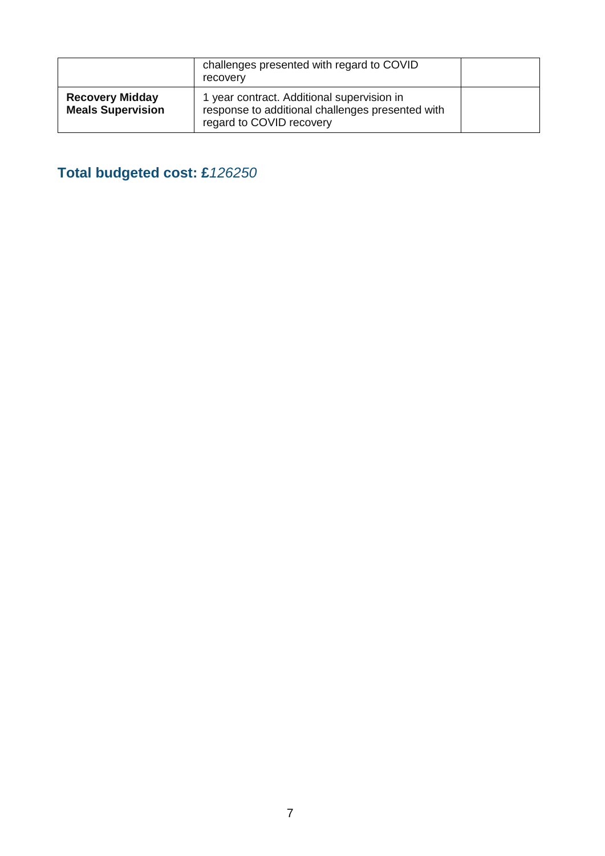|                                                    | challenges presented with regard to COVID<br>recovery                                                                      |  |
|----------------------------------------------------|----------------------------------------------------------------------------------------------------------------------------|--|
| <b>Recovery Midday</b><br><b>Meals Supervision</b> | 1 year contract. Additional supervision in<br>response to additional challenges presented with<br>regard to COVID recovery |  |

**Total budgeted cost: £***126250*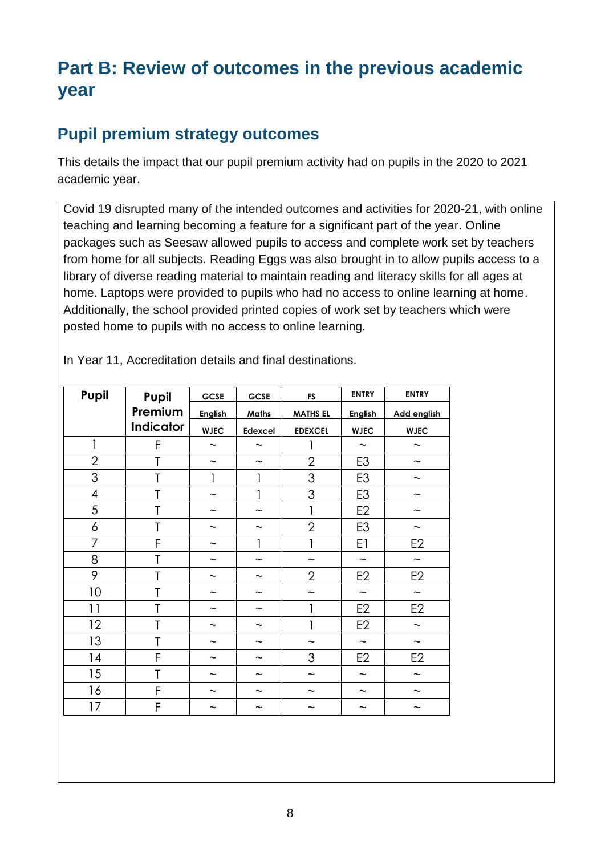## **Part B: Review of outcomes in the previous academic year**

#### **Pupil premium strategy outcomes**

This details the impact that our pupil premium activity had on pupils in the 2020 to 2021 academic year.

Covid 19 disrupted many of the intended outcomes and activities for 2020-21, with online teaching and learning becoming a feature for a significant part of the year. Online packages such as Seesaw allowed pupils to access and complete work set by teachers from home for all subjects. Reading Eggs was also brought in to allow pupils access to a library of diverse reading material to maintain reading and literacy skills for all ages at home. Laptops were provided to pupils who had no access to online learning at home. Additionally, the school provided printed copies of work set by teachers which were posted home to pupils with no access to online learning.

| Pupil                    | Pupil            | <b>GCSE</b>               | <b>GCSE</b>               | <b>FS</b>                 | <b>ENTRY</b>              | <b>ENTRY</b>              |
|--------------------------|------------------|---------------------------|---------------------------|---------------------------|---------------------------|---------------------------|
|                          | Premium          | <b>English</b>            | <b>Maths</b>              | <b>MATHS EL</b>           | English                   | Add english               |
|                          | <b>Indicator</b> | <b>WJEC</b>               | Edexcel                   | <b>EDEXCEL</b>            | <b>WJEC</b>               | <b>WJEC</b>               |
| 1                        | F                | $\widetilde{\phantom{m}}$ | $\widetilde{\phantom{m}}$ | 1                         | $\widetilde{\phantom{m}}$ | $\tilde{\phantom{a}}$     |
| $\overline{2}$           | T                | $\tilde{}$                | $\tilde{}$                | $\overline{2}$            | E <sub>3</sub>            | $\tilde{}$                |
| 3                        | T                | 1                         | 1                         | 3                         | E <sub>3</sub>            | ~                         |
| $\overline{\mathcal{A}}$ | T                | $\tilde{}$                | 1                         | 3                         | E <sub>3</sub>            | $\tilde{\phantom{a}}$     |
| 5                        | T                | $\tilde{}$                | $\tilde{}$                | $\mathbf{I}$              | E <sub>2</sub>            | $\widetilde{\phantom{m}}$ |
| 6                        | T                | $\widetilde{\phantom{m}}$ | $\tilde{}$                | $\overline{2}$            | E <sub>3</sub>            | $\widetilde{\phantom{m}}$ |
| $\overline{7}$           | F                | $\tilde{}$                | 1                         | 1                         | E1                        | E <sub>2</sub>            |
| 8                        | T                | $\tilde{}$                | $\tilde{}$                | $\tilde{\phantom{a}}$     | $\widetilde{\phantom{m}}$ | $\widetilde{\phantom{m}}$ |
| 9                        | T                | $\tilde{\phantom{a}}$     | ~                         | $\overline{2}$            | E <sub>2</sub>            | E <sub>2</sub>            |
| 10                       | T                | $\widetilde{\phantom{m}}$ | $\tilde{\phantom{a}}$     | $\widetilde{\phantom{m}}$ | $\tilde{}$                | $\tilde{}$                |
| 11                       | T                | $\tilde{\phantom{a}}$     | ~                         | 1                         | E <sub>2</sub>            | E <sub>2</sub>            |
| 12                       | Ť                | $\widetilde{\phantom{m}}$ | ~                         | 1                         | E <sub>2</sub>            | $\widetilde{\phantom{m}}$ |
| 13                       | T                | $\widetilde{\phantom{m}}$ | $\widetilde{\phantom{m}}$ | $\widetilde{\phantom{m}}$ | $\tilde{\phantom{a}}$     | $\widetilde{\phantom{m}}$ |
| 14                       | F                | $\tilde{\phantom{a}}$     | $\tilde{}$                | 3                         | E <sub>2</sub>            | E <sub>2</sub>            |
| 15                       | T                | $\tilde{}$                | ~                         | $\tilde{\phantom{a}}$     | $\tilde{}$                | $\tilde{}$                |
| 16                       | F                | $\widetilde{\phantom{m}}$ | ~                         | $\tilde{\phantom{a}}$     | $\tilde{\phantom{a}}$     | ~                         |
| 17                       | F                | $\tilde{\phantom{a}}$     | ~                         | $\widetilde{\phantom{m}}$ | ~                         | $\widetilde{\phantom{m}}$ |

In Year 11, Accreditation details and final destinations.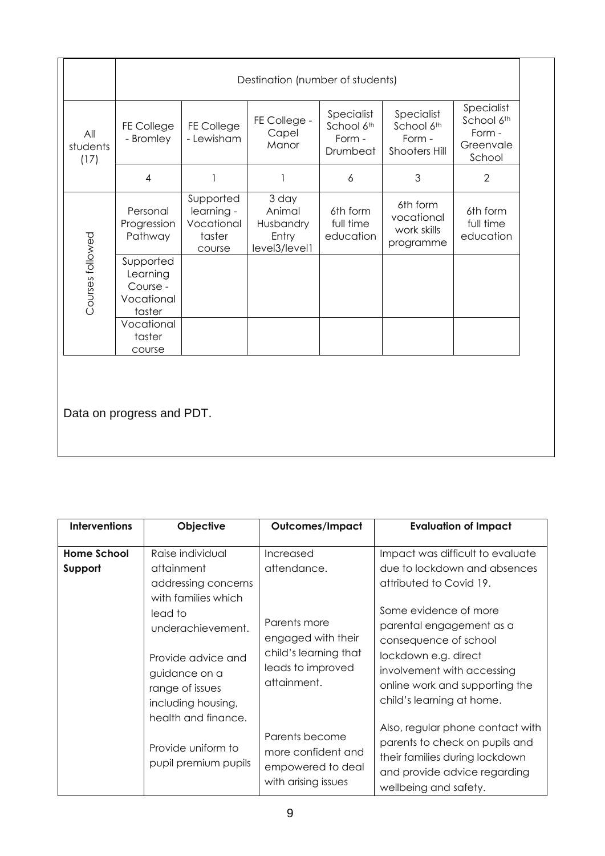|                         | Destination (number of students)                          |                                                           |                                                        |                                                |                                                            |                                                           |
|-------------------------|-----------------------------------------------------------|-----------------------------------------------------------|--------------------------------------------------------|------------------------------------------------|------------------------------------------------------------|-----------------------------------------------------------|
| All<br>students<br>(17) | FE College<br>- Bromley                                   | <b>FE College</b><br>- Lewisham                           | FE College -<br>Capel<br>Manor                         | Specialist<br>School 6th<br>Form -<br>Drumbeat | Specialist<br>School 6th<br>Form -<br><b>Shooters Hill</b> | Specialist<br>School 6th<br>Form -<br>Greenvale<br>School |
|                         | $\overline{4}$                                            |                                                           |                                                        | 6                                              | 3                                                          | $\overline{2}$                                            |
| Courses followed        | Personal<br>Progression<br>Pathway                        | Supported<br>learning -<br>Vocational<br>taster<br>course | 3 day<br>Animal<br>Husbandry<br>Entry<br>level3/level1 | 6th form<br>full time<br>education             | 6th form<br>vocational<br>work skills<br>programme         | 6th form<br>full time<br>education                        |
|                         | Supported<br>Learning<br>Course -<br>Vocational<br>taster |                                                           |                                                        |                                                |                                                            |                                                           |
|                         | Vocational<br>taster<br>course                            |                                                           |                                                        |                                                |                                                            |                                                           |

Data on progress and PDT.

| <b>Interventions</b>          | Objective                                                                                           | Outcomes/Impact                                                                  | <b>Evaluation of Impact</b>                                                                                                                                                                                                                                                                                                                                      |
|-------------------------------|-----------------------------------------------------------------------------------------------------|----------------------------------------------------------------------------------|------------------------------------------------------------------------------------------------------------------------------------------------------------------------------------------------------------------------------------------------------------------------------------------------------------------------------------------------------------------|
| <b>Home School</b><br>Support | Raise individual<br>attainment                                                                      | Increased<br>attendance.                                                         | Impact was difficult to evaluate<br>due to lockdown and absences                                                                                                                                                                                                                                                                                                 |
|                               | addressing concerns<br>with families which                                                          |                                                                                  | attributed to Covid 19.                                                                                                                                                                                                                                                                                                                                          |
|                               | lead to<br>underachievement.                                                                        | Parents more<br>engaged with their                                               | Some evidence of more<br>parental engagement as a<br>consequence of school<br>lockdown e.g. direct<br>involvement with accessing<br>online work and supporting the<br>child's learning at home.<br>Also, regular phone contact with<br>parents to check on pupils and<br>their families during lockdown<br>and provide advice regarding<br>wellbeing and safety. |
|                               | Provide advice and<br>guidance on a<br>range of issues<br>including housing,<br>health and finance. | child's learning that<br>leads to improved<br>attainment.                        |                                                                                                                                                                                                                                                                                                                                                                  |
|                               | Provide uniform to<br>pupil premium pupils                                                          | Parents become<br>more confident and<br>empowered to deal<br>with arising issues |                                                                                                                                                                                                                                                                                                                                                                  |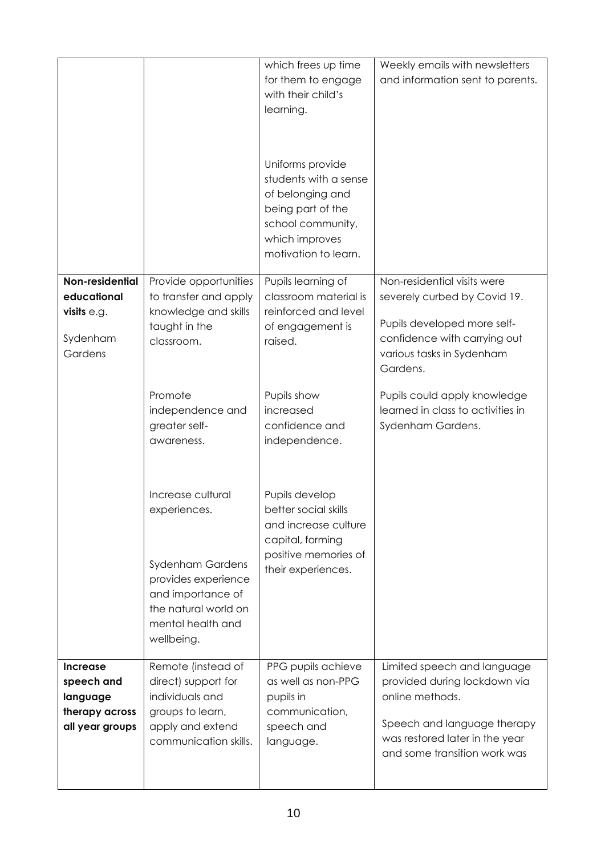|                                                                                |                                                                                                                                                                     | which frees up time<br>for them to engage<br>with their child's<br>learning.                                                                      | Weekly emails with newsletters<br>and information sent to parents.                                                                                                              |
|--------------------------------------------------------------------------------|---------------------------------------------------------------------------------------------------------------------------------------------------------------------|---------------------------------------------------------------------------------------------------------------------------------------------------|---------------------------------------------------------------------------------------------------------------------------------------------------------------------------------|
|                                                                                |                                                                                                                                                                     | Uniforms provide<br>students with a sense<br>of belonging and<br>being part of the<br>school community,<br>which improves<br>motivation to learn. |                                                                                                                                                                                 |
| Non-residential<br>educational                                                 | Provide opportunities<br>to transfer and apply                                                                                                                      | Pupils learning of<br>classroom material is                                                                                                       | Non-residential visits were                                                                                                                                                     |
| visits $e.g.$                                                                  | knowledge and skills                                                                                                                                                | reinforced and level                                                                                                                              | severely curbed by Covid 19.                                                                                                                                                    |
| Sydenham<br>Gardens                                                            | taught in the<br>classroom.                                                                                                                                         | of engagement is<br>raised.                                                                                                                       | Pupils developed more self-<br>confidence with carrying out<br>various tasks in Sydenham<br>Gardens.                                                                            |
|                                                                                | Promote<br>independence and<br>greater self-<br>awareness.                                                                                                          | Pupils show<br>increased<br>confidence and<br>independence.                                                                                       | Pupils could apply knowledge<br>learned in class to activities in<br>Sydenham Gardens.                                                                                          |
|                                                                                | Increase cultural<br>experiences.<br><b>Sydenham Gardens</b><br>provides experience<br>and importance of<br>the natural world on<br>mental health and<br>wellbeing. | Pupils develop<br>better social skills<br>and increase culture<br>capital, forming<br>positive memories of<br>their experiences.                  |                                                                                                                                                                                 |
| <b>Increase</b><br>speech and<br>language<br>therapy across<br>all year groups | Remote (instead of<br>direct) support for<br>individuals and<br>groups to learn,<br>apply and extend<br>communication skills.                                       | PPG pupils achieve<br>as well as non-PPG<br>pupils in<br>communication,<br>speech and<br>language.                                                | Limited speech and language<br>provided during lockdown via<br>online methods.<br>Speech and language therapy<br>was restored later in the year<br>and some transition work was |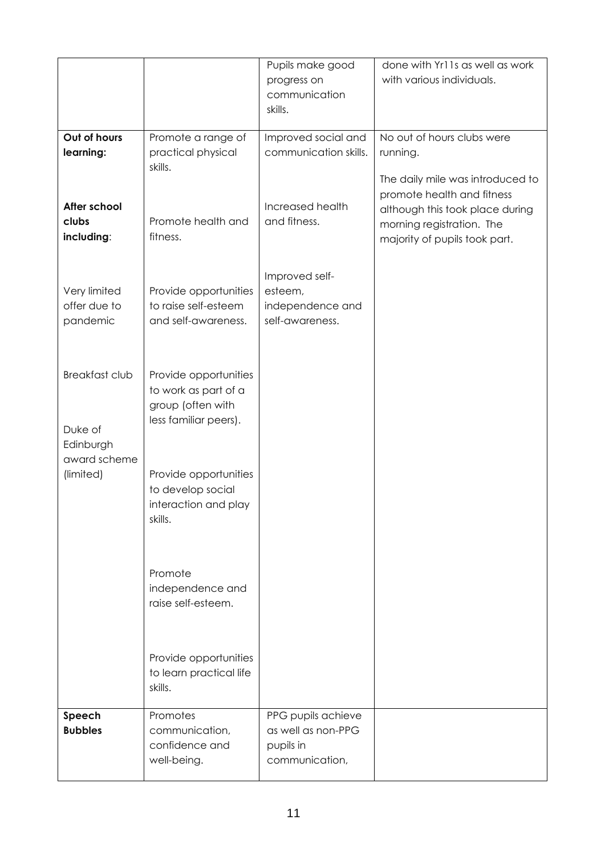|                                                               |                                                                                             | Pupils make good<br>progress on<br>communication<br>skills.             | done with Yr11s as well as work<br>with various individuals.                                                                |
|---------------------------------------------------------------|---------------------------------------------------------------------------------------------|-------------------------------------------------------------------------|-----------------------------------------------------------------------------------------------------------------------------|
| Out of hours<br>learning:                                     | Promote a range of<br>practical physical<br>skills.                                         | Improved social and<br>communication skills.                            | No out of hours clubs were<br>running.<br>The daily mile was introduced to                                                  |
| After school<br>clubs<br>including:                           | Promote health and<br>fitness.                                                              | Increased health<br>and fitness.                                        | promote health and fitness<br>although this took place during<br>morning registration. The<br>majority of pupils took part. |
| Very limited<br>offer due to<br>pandemic                      | Provide opportunities<br>to raise self-esteem<br>and self-awareness.                        | Improved self-<br>esteem,<br>independence and<br>self-awareness.        |                                                                                                                             |
| <b>Breakfast club</b><br>Duke of<br>Edinburgh<br>award scheme | Provide opportunities<br>to work as part of a<br>group (often with<br>less familiar peers). |                                                                         |                                                                                                                             |
| (limited)                                                     | Provide opportunities<br>to develop social<br>interaction and play<br>skills.               |                                                                         |                                                                                                                             |
|                                                               | Promote<br>independence and<br>raise self-esteem.                                           |                                                                         |                                                                                                                             |
|                                                               | Provide opportunities<br>to learn practical life<br>skills.                                 |                                                                         |                                                                                                                             |
| Speech<br><b>Bubbles</b>                                      | Promotes<br>communication,<br>confidence and<br>well-being.                                 | PPG pupils achieve<br>as well as non-PPG<br>pupils in<br>communication, |                                                                                                                             |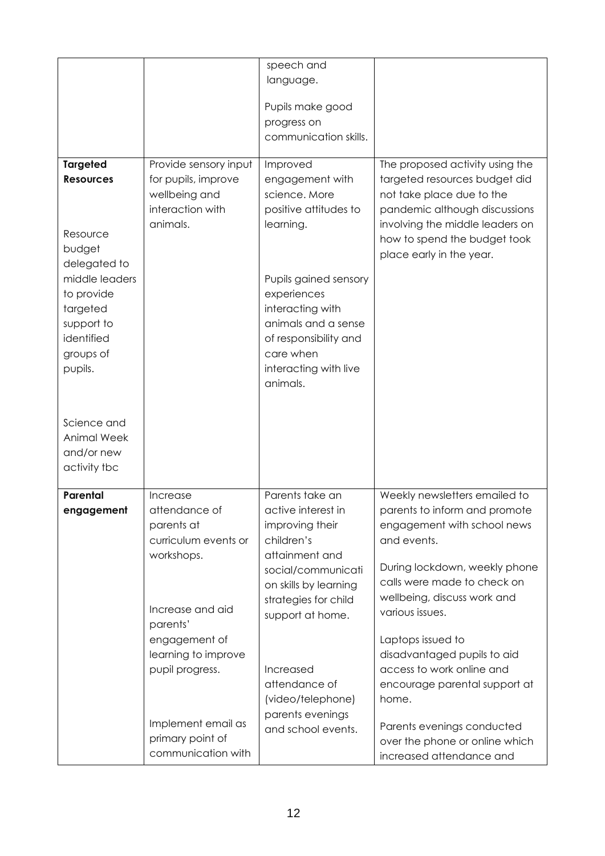|                    |                       | speech and            |                                                          |
|--------------------|-----------------------|-----------------------|----------------------------------------------------------|
|                    |                       | language.             |                                                          |
|                    |                       |                       |                                                          |
|                    |                       | Pupils make good      |                                                          |
|                    |                       | progress on           |                                                          |
|                    |                       | communication skills. |                                                          |
|                    |                       |                       |                                                          |
| <b>Targeted</b>    | Provide sensory input | Improved              | The proposed activity using the                          |
| <b>Resources</b>   | for pupils, improve   | engagement with       | targeted resources budget did                            |
|                    | wellbeing and         | science. More         | not take place due to the                                |
|                    | interaction with      | positive attitudes to | pandemic although discussions                            |
|                    | animals.              | learning.             | involving the middle leaders on                          |
| Resource           |                       |                       | how to spend the budget took                             |
| budget             |                       |                       | place early in the year.                                 |
| delegated to       |                       |                       |                                                          |
| middle leaders     |                       | Pupils gained sensory |                                                          |
| to provide         |                       | experiences           |                                                          |
| targeted           |                       | interacting with      |                                                          |
| support to         |                       | animals and a sense   |                                                          |
| identified         |                       | of responsibility and |                                                          |
| groups of          |                       | care when             |                                                          |
| pupils.            |                       | interacting with live |                                                          |
|                    |                       | animals.              |                                                          |
|                    |                       |                       |                                                          |
|                    |                       |                       |                                                          |
| Science and        |                       |                       |                                                          |
| <b>Animal Week</b> |                       |                       |                                                          |
| and/or new         |                       |                       |                                                          |
| activity tbc       |                       |                       |                                                          |
|                    |                       |                       |                                                          |
| <b>Parental</b>    | Increase              | Parents take an       | Weekly newsletters emailed to                            |
| engagement         | attendance of         | active interest in    | parents to inform and promote                            |
|                    | parents at            | improving their       | engagement with school news                              |
|                    | curriculum events or  | children's            | and events.                                              |
|                    | workshops.            | attainment and        |                                                          |
|                    |                       | social/communicati    | During lockdown, weekly phone                            |
|                    |                       | on skills by learning | calls were made to check on                              |
|                    | Increase and aid      | strategies for child  | wellbeing, discuss work and                              |
|                    | parents'              | support at home.      | various issues.                                          |
|                    | engagement of         |                       | Laptops issued to                                        |
|                    |                       |                       |                                                          |
|                    | learning to improve   |                       | disadvantaged pupils to aid<br>access to work online and |
|                    | pupil progress.       | Increased             |                                                          |
|                    |                       | attendance of         | encourage parental support at                            |
|                    |                       | (video/telephone)     | home.                                                    |
|                    | Implement email as    | parents evenings      | Parents evenings conducted                               |
|                    | primary point of      | and school events.    |                                                          |
|                    | communication with    |                       | over the phone or online which                           |
|                    |                       |                       | increased attendance and                                 |